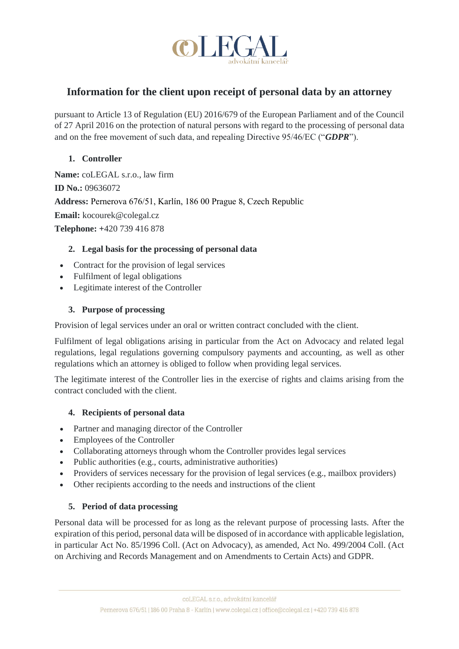

# **Information for the client upon receipt of personal data by an attorney**

pursuant to Article 13 of Regulation (EU) 2016/679 of the European Parliament and of the Council of 27 April 2016 on the protection of natural persons with regard to the processing of personal data and on the free movement of such data, and repealing Directive 95/46/EC ("*GDPR*").

## **1. Controller**

**Name:** coLEGAL s.r.o., law firm **ID No.:** 09636072 **Address:** Pernerova 676/51, Karlín, 186 00 Prague 8, Czech Republic **Email:** kocourek@colegal.cz **Telephone: +**420 739 416 878

## **2. Legal basis for the processing of personal data**

- Contract for the provision of legal services
- Fulfilment of legal obligations
- Legitimate interest of the Controller

## **3. Purpose of processing**

Provision of legal services under an oral or written contract concluded with the client.

Fulfilment of legal obligations arising in particular from the Act on Advocacy and related legal regulations, legal regulations governing compulsory payments and accounting, as well as other regulations which an attorney is obliged to follow when providing legal services.

The legitimate interest of the Controller lies in the exercise of rights and claims arising from the contract concluded with the client.

## **4. Recipients of personal data**

- Partner and managing director of the Controller
- Employees of the Controller
- Collaborating attorneys through whom the Controller provides legal services
- Public authorities (e.g., courts, administrative authorities)
- Providers of services necessary for the provision of legal services (e.g., mailbox providers)
- Other recipients according to the needs and instructions of the client

## **5. Period of data processing**

Personal data will be processed for as long as the relevant purpose of processing lasts. After the expiration of this period, personal data will be disposed of in accordance with applicable legislation, in particular Act No. 85/1996 Coll. (Act on Advocacy), as amended, Act No. 499/2004 Coll. (Act on Archiving and Records Management and on Amendments to Certain Acts) and GDPR.